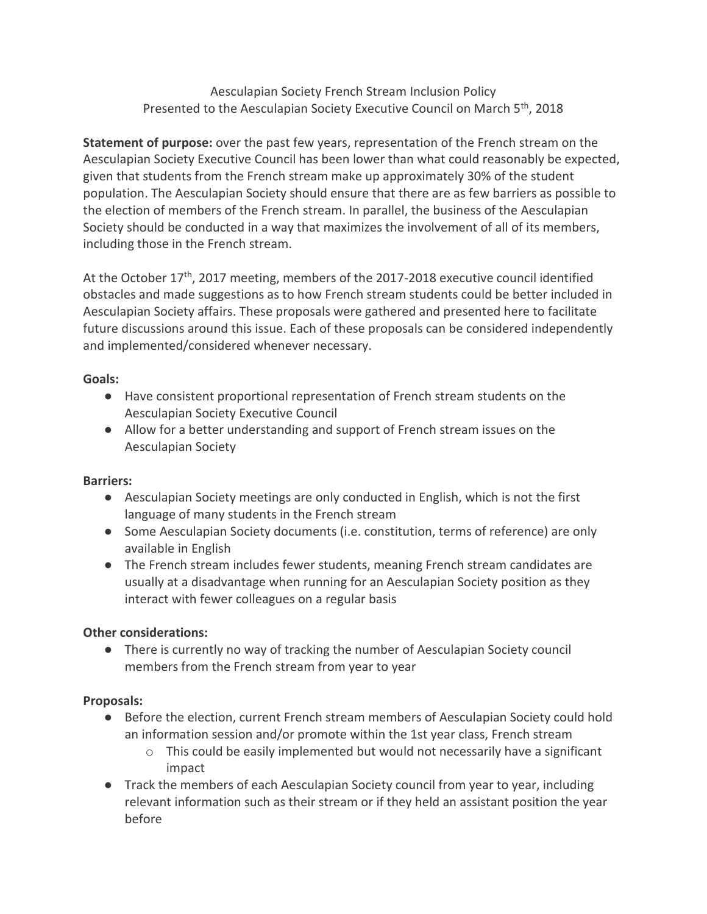Aesculapian Society French Stream Inclusion Policy Presented to the Aesculapian Society Executive Council on March 5<sup>th</sup>, 2018

**Statement of purpose:** over the past few years, representation of the French stream on the Aesculapian Society Executive Council has been lower than what could reasonably be expected, given that students from the French stream make up approximately 30% of the student population. The Aesculapian Society should ensure that there are as few barriers as possible to the election of members of the French stream. In parallel, the business of the Aesculapian Society should be conducted in a way that maximizes the involvement of all of its members, including those in the French stream.

At the October 17<sup>th</sup>, 2017 meeting, members of the 2017-2018 executive council identified obstacles and made suggestions as to how French stream students could be better included in Aesculapian Society affairs. These proposals were gathered and presented here to facilitate future discussions around this issue. Each of these proposals can be considered independently and implemented/considered whenever necessary.

## **Goals:**

- Have consistent proportional representation of French stream students on the Aesculapian Society Executive Council
- Allow for a better understanding and support of French stream issues on the Aesculapian Society

## **Barriers:**

- Aesculapian Society meetings are only conducted in English, which is not the first language of many students in the French stream
- Some Aesculapian Society documents (i.e. constitution, terms of reference) are only available in English
- The French stream includes fewer students, meaning French stream candidates are usually at a disadvantage when running for an Aesculapian Society position as they interact with fewer colleagues on a regular basis

## **Other considerations:**

● There is currently no way of tracking the number of Aesculapian Society council members from the French stream from year to year

## **Proposals:**

- Before the election, current French stream members of Aesculapian Society could hold an information session and/or promote within the 1st year class, French stream
	- $\circ$  This could be easily implemented but would not necessarily have a significant impact
- Track the members of each Aesculapian Society council from year to year, including relevant information such as their stream or if they held an assistant position the year before